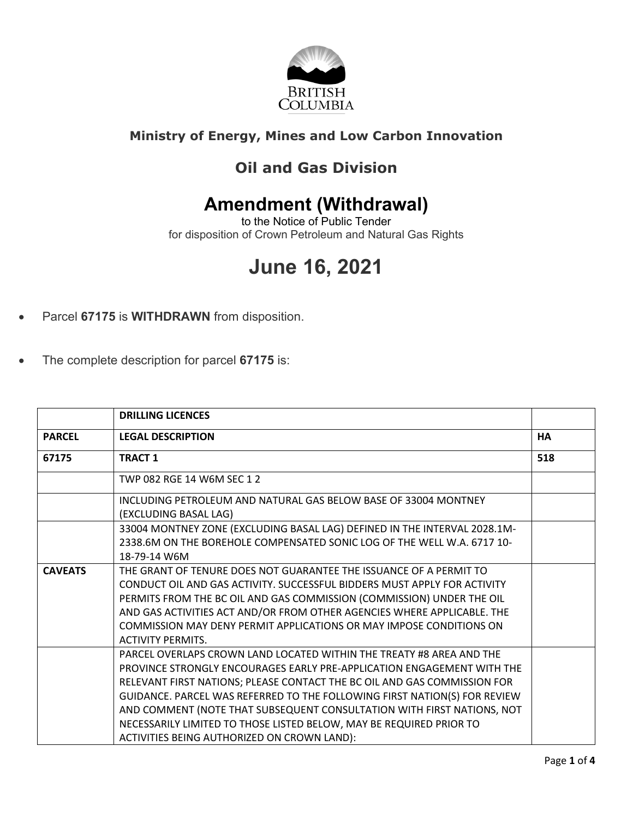

## **Ministry of Energy, Mines and Low Carbon Innovation**

## **Oil and Gas Division**

## **Amendment (Withdrawal)**

to the Notice of Public Tender for disposition of Crown Petroleum and Natural Gas Rights

## **June 16, 2021**

- Parcel **67175** is **WITHDRAWN** from disposition.
- The complete description for parcel **67175** is:

|                | <b>DRILLING LICENCES</b>                                                                                                                                                                                                                                                                                                                                                                                                                                                                                |           |
|----------------|---------------------------------------------------------------------------------------------------------------------------------------------------------------------------------------------------------------------------------------------------------------------------------------------------------------------------------------------------------------------------------------------------------------------------------------------------------------------------------------------------------|-----------|
| <b>PARCEL</b>  | <b>LEGAL DESCRIPTION</b>                                                                                                                                                                                                                                                                                                                                                                                                                                                                                | <b>HA</b> |
| 67175          | <b>TRACT 1</b>                                                                                                                                                                                                                                                                                                                                                                                                                                                                                          | 518       |
|                | TWP 082 RGE 14 W6M SEC 1 2                                                                                                                                                                                                                                                                                                                                                                                                                                                                              |           |
|                | INCLUDING PETROLEUM AND NATURAL GAS BELOW BASE OF 33004 MONTNEY<br>(EXCLUDING BASAL LAG)                                                                                                                                                                                                                                                                                                                                                                                                                |           |
|                | 33004 MONTNEY ZONE (EXCLUDING BASAL LAG) DEFINED IN THE INTERVAL 2028.1M-<br>2338.6M ON THE BOREHOLE COMPENSATED SONIC LOG OF THE WELL W.A. 6717 10-<br>18-79-14 W6M                                                                                                                                                                                                                                                                                                                                    |           |
| <b>CAVEATS</b> | THE GRANT OF TENURE DOES NOT GUARANTEE THE ISSUANCE OF A PERMIT TO<br>CONDUCT OIL AND GAS ACTIVITY. SUCCESSFUL BIDDERS MUST APPLY FOR ACTIVITY<br>PERMITS FROM THE BC OIL AND GAS COMMISSION (COMMISSION) UNDER THE OIL<br>AND GAS ACTIVITIES ACT AND/OR FROM OTHER AGENCIES WHERE APPLICABLE. THE<br>COMMISSION MAY DENY PERMIT APPLICATIONS OR MAY IMPOSE CONDITIONS ON<br><b>ACTIVITY PERMITS.</b>                                                                                                   |           |
|                | PARCEL OVERLAPS CROWN LAND LOCATED WITHIN THE TREATY #8 AREA AND THE<br>PROVINCE STRONGLY ENCOURAGES EARLY PRE-APPLICATION ENGAGEMENT WITH THE<br>RELEVANT FIRST NATIONS; PLEASE CONTACT THE BC OIL AND GAS COMMISSION FOR<br>GUIDANCE. PARCEL WAS REFERRED TO THE FOLLOWING FIRST NATION(S) FOR REVIEW<br>AND COMMENT (NOTE THAT SUBSEQUENT CONSULTATION WITH FIRST NATIONS, NOT<br>NECESSARILY LIMITED TO THOSE LISTED BELOW, MAY BE REQUIRED PRIOR TO<br>ACTIVITIES BEING AUTHORIZED ON CROWN LAND): |           |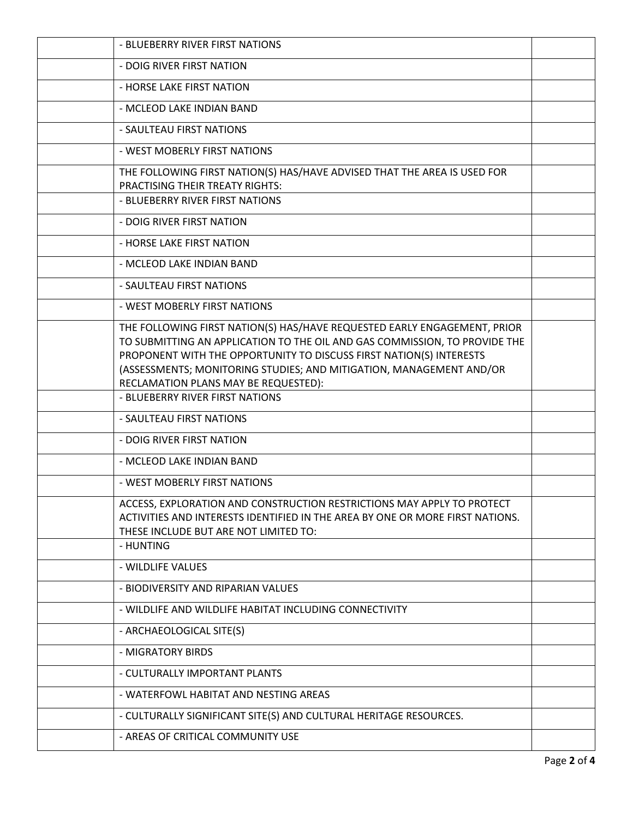| - BLUEBERRY RIVER FIRST NATIONS                                                                                                                                                                                                                                                                                                              |  |
|----------------------------------------------------------------------------------------------------------------------------------------------------------------------------------------------------------------------------------------------------------------------------------------------------------------------------------------------|--|
| - DOIG RIVER FIRST NATION                                                                                                                                                                                                                                                                                                                    |  |
| - HORSE LAKE FIRST NATION                                                                                                                                                                                                                                                                                                                    |  |
| - MCLEOD LAKE INDIAN BAND                                                                                                                                                                                                                                                                                                                    |  |
| - SAULTEAU FIRST NATIONS                                                                                                                                                                                                                                                                                                                     |  |
| - WEST MOBERLY FIRST NATIONS                                                                                                                                                                                                                                                                                                                 |  |
| THE FOLLOWING FIRST NATION(S) HAS/HAVE ADVISED THAT THE AREA IS USED FOR<br>PRACTISING THEIR TREATY RIGHTS:                                                                                                                                                                                                                                  |  |
| - BLUEBERRY RIVER FIRST NATIONS                                                                                                                                                                                                                                                                                                              |  |
| - DOIG RIVER FIRST NATION                                                                                                                                                                                                                                                                                                                    |  |
| - HORSE LAKE FIRST NATION                                                                                                                                                                                                                                                                                                                    |  |
| - MCLEOD LAKE INDIAN BAND                                                                                                                                                                                                                                                                                                                    |  |
| - SAULTEAU FIRST NATIONS                                                                                                                                                                                                                                                                                                                     |  |
| - WEST MOBERLY FIRST NATIONS                                                                                                                                                                                                                                                                                                                 |  |
| THE FOLLOWING FIRST NATION(S) HAS/HAVE REQUESTED EARLY ENGAGEMENT, PRIOR<br>TO SUBMITTING AN APPLICATION TO THE OIL AND GAS COMMISSION, TO PROVIDE THE<br>PROPONENT WITH THE OPPORTUNITY TO DISCUSS FIRST NATION(S) INTERESTS<br>(ASSESSMENTS; MONITORING STUDIES; AND MITIGATION, MANAGEMENT AND/OR<br>RECLAMATION PLANS MAY BE REQUESTED): |  |
| - BLUEBERRY RIVER FIRST NATIONS                                                                                                                                                                                                                                                                                                              |  |
| - SAULTEAU FIRST NATIONS                                                                                                                                                                                                                                                                                                                     |  |
| - DOIG RIVER FIRST NATION                                                                                                                                                                                                                                                                                                                    |  |
| - MCLEOD LAKE INDIAN BAND                                                                                                                                                                                                                                                                                                                    |  |
| - WEST MOBERLY FIRST NATIONS                                                                                                                                                                                                                                                                                                                 |  |
| ACCESS, EXPLORATION AND CONSTRUCTION RESTRICTIONS MAY APPLY TO PROTECT<br>ACTIVITIES AND INTERESTS IDENTIFIED IN THE AREA BY ONE OR MORE FIRST NATIONS.<br>THESE INCLUDE BUT ARE NOT LIMITED TO:<br>- HUNTING                                                                                                                                |  |
| - WILDLIFE VALUES                                                                                                                                                                                                                                                                                                                            |  |
| - BIODIVERSITY AND RIPARIAN VALUES                                                                                                                                                                                                                                                                                                           |  |
| - WILDLIFE AND WILDLIFE HABITAT INCLUDING CONNECTIVITY                                                                                                                                                                                                                                                                                       |  |
| - ARCHAEOLOGICAL SITE(S)                                                                                                                                                                                                                                                                                                                     |  |
| - MIGRATORY BIRDS                                                                                                                                                                                                                                                                                                                            |  |
| - CULTURALLY IMPORTANT PLANTS                                                                                                                                                                                                                                                                                                                |  |
| - WATERFOWL HABITAT AND NESTING AREAS                                                                                                                                                                                                                                                                                                        |  |
| - CULTURALLY SIGNIFICANT SITE(S) AND CULTURAL HERITAGE RESOURCES.                                                                                                                                                                                                                                                                            |  |
| - AREAS OF CRITICAL COMMUNITY USE                                                                                                                                                                                                                                                                                                            |  |
|                                                                                                                                                                                                                                                                                                                                              |  |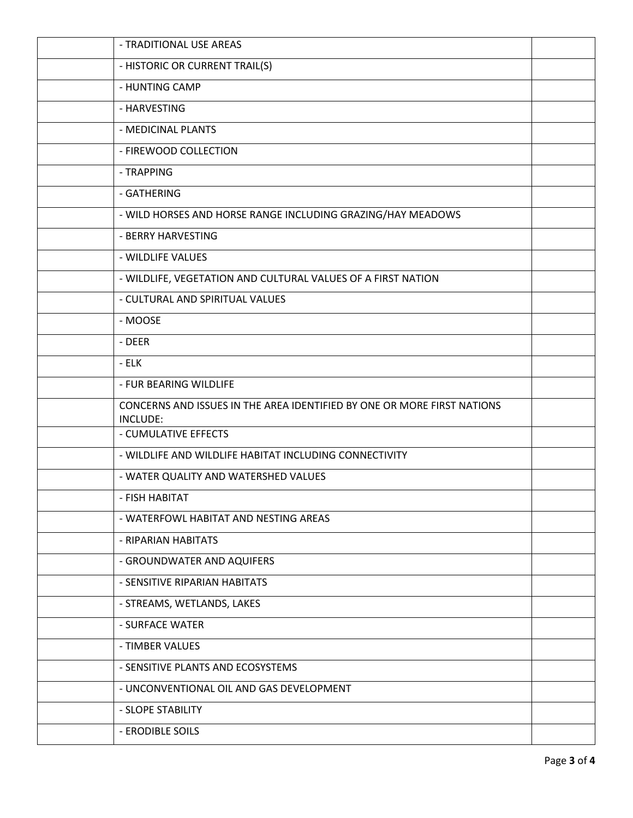| - TRADITIONAL USE AREAS                                                             |  |
|-------------------------------------------------------------------------------------|--|
| - HISTORIC OR CURRENT TRAIL(S)                                                      |  |
| - HUNTING CAMP                                                                      |  |
| - HARVESTING                                                                        |  |
| - MEDICINAL PLANTS                                                                  |  |
| - FIREWOOD COLLECTION                                                               |  |
| - TRAPPING                                                                          |  |
| - GATHERING                                                                         |  |
| - WILD HORSES AND HORSE RANGE INCLUDING GRAZING/HAY MEADOWS                         |  |
| - BERRY HARVESTING                                                                  |  |
| - WILDLIFE VALUES                                                                   |  |
| - WILDLIFE, VEGETATION AND CULTURAL VALUES OF A FIRST NATION                        |  |
| - CULTURAL AND SPIRITUAL VALUES                                                     |  |
| - MOOSE                                                                             |  |
| - DEER                                                                              |  |
| $-$ ELK                                                                             |  |
| - FUR BEARING WILDLIFE                                                              |  |
| CONCERNS AND ISSUES IN THE AREA IDENTIFIED BY ONE OR MORE FIRST NATIONS<br>INCLUDE: |  |
| - CUMULATIVE EFFECTS                                                                |  |
| - WILDLIFE AND WILDLIFE HABITAT INCLUDING CONNECTIVITY                              |  |
| - WATER QUALITY AND WATERSHED VALUES                                                |  |
| - FISH HABITAT                                                                      |  |
| - WATERFOWL HABITAT AND NESTING AREAS                                               |  |
| - RIPARIAN HABITATS                                                                 |  |
| - GROUNDWATER AND AQUIFERS                                                          |  |
| - SENSITIVE RIPARIAN HABITATS                                                       |  |
| - STREAMS, WETLANDS, LAKES                                                          |  |
| - SURFACE WATER                                                                     |  |
| - TIMBER VALUES                                                                     |  |
| - SENSITIVE PLANTS AND ECOSYSTEMS                                                   |  |
| - UNCONVENTIONAL OIL AND GAS DEVELOPMENT                                            |  |
| - SLOPE STABILITY                                                                   |  |
| - ERODIBLE SOILS                                                                    |  |